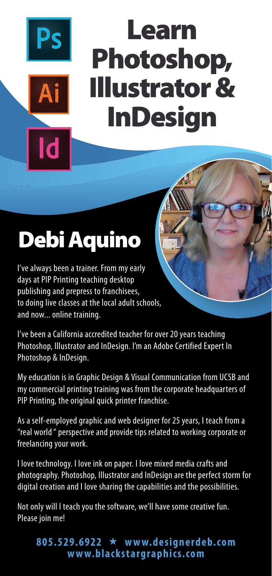# Learn Photoshop, Illustrator & InDesign

## Debi Aquino

I've always been a trainer. From my early days at PIP Printing teaching desktop publishing and prepress to franchisees, to doing live classes at the local adult schools, and now... online training.

I've been a California accredited teacher for over 20 years teaching Photoshop, Illustrator and InDesign. I'm an Adobe Certified Expert In Photoshop & InDesign.

My education is in Graphic Design & Visual Communication from UCSB and my commercial printing training was from the corporate headquarters of PIP Printing, the original quick printer franchise.

As a self-employed graphic and web designer for 25 years, I teach from a "real world " perspective and provide tips related to working corporate or freelancing your work.

I love technology. I love ink on paper. I love mixed media crafts and photography. Photoshop, Illustrator and InDesign are the perfect storm for digital creation and I love sharing the capabilities and the possibilities.

Not only will I teach you the software, we'll have some creative fun. Please join me!

#### **805.529.6922 www.designerdeb.com www.blackstargraphics.com**